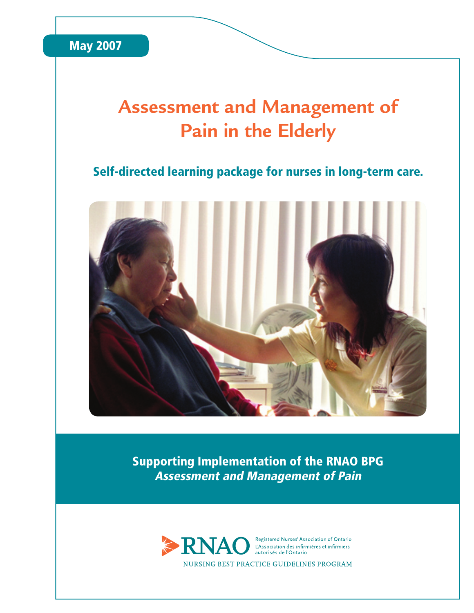

## **Assessment and Management of Pain in the Elderly**

## Self-directed learning package for nurses in long-term care.



Supporting Implementation of the RNAO BPG Assessment and Management of Pain

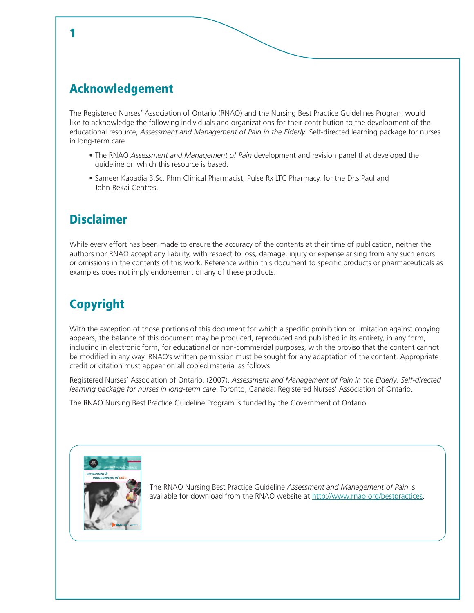## Acknowledgement

1

The Registered Nurses' Association of Ontario (RNAO) and the Nursing Best Practice Guidelines Program would like to acknowledge the following individuals and organizations for their contribution to the development of the educational resource, *Assessment and Management of Pain in the Elderly*: Self-directed learning package for nurses in long-term care.

- The RNAO *Assessment and Management of Pain* development and revision panel that developed the guideline on which this resource is based.
- Sameer Kapadia B.Sc. Phm Clinical Pharmacist, Pulse Rx LTC Pharmacy, for the Dr.s Paul and John Rekai Centres.

## **Disclaimer**

While every effort has been made to ensure the accuracy of the contents at their time of publication, neither the authors nor RNAO accept any liability, with respect to loss, damage, injury or expense arising from any such errors or omissions in the contents of this work. Reference within this document to specific products or pharmaceuticals as examples does not imply endorsement of any of these products.

## Copyright

With the exception of those portions of this document for which a specific prohibition or limitation against copying appears, the balance of this document may be produced, reproduced and published in its entirety, in any form, including in electronic form, for educational or non-commercial purposes, with the proviso that the content cannot be modified in any way. RNAO's written permission must be sought for any adaptation of the content. Appropriate credit or citation must appear on all copied material as follows:

Registered Nurses' Association of Ontario. (2007). *Assessment and Management of Pain in the Elderly: Self-directed learning package for nurses in long-term care*. Toronto, Canada: Registered Nurses' Association of Ontario.

The RNAO Nursing Best Practice Guideline Program is funded by the Government of Ontario.



The RNAO Nursing Best Practice Guideline *Assessment and Management of Pain* is available for download from the RNAO website at http://www.rnao.org/bestpractices.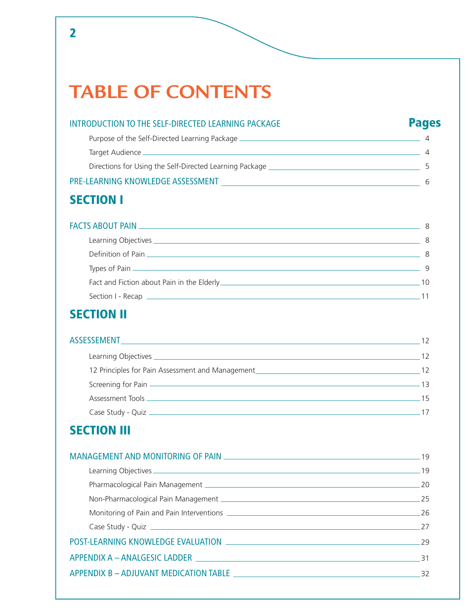## **TABLE OF CONTENTS**

## INTRODUCTION TO THE SELF-DIRECTED LEARNING PACKAGE **Pages** Purpose of the Self-Directed Learning Package <u>1988 - Alexander Constantine Constantine Constantine Constantine</u> Target Audience 2002 12:00 12:00 12:00 12:00 12:00 12:00 12:00 12:00 12:00 12:00 12:00 12:00 12:00 12:00 12:00 12:00 12:00 12:00 12:00 12:00 12:00 12:00 12:00 12:00 12:00 12:00 12:00 12:00 12:00 12:00 12:00 12:00 12:00 12: Directions for Using the Self-Directed Learning Package 5 PRE-LEARNING KNOWLEDGE ASSESSMENT 6

## SECTION I

## FACTS ABOUT PAIN 8 Learning Objectives 8 Definition of Pain 8 Types of Pain 2002 Contract the Contract of Pain 2003 Contract to the Contract of Pain 2003 Contract of Contract of Contract of Contract of Contract of Contract of Contract of Contract of Contract of Contract of Contract o Fact and Fiction about Pain in the Elderly 10 Section I - Recap 11

## SECTION II

## ASSESSEMENT 12 Learning Objectives 12 12 Principles for Pain Assessment and Management 12 Principles for Pain Assessment and Management Screening for Pain 2008 (Screening for Pain 2008) 2014 13<br>  $\frac{1}{2}$ <br>
13 Assessment Tools <u>156 | 156 | 156 | 157 | 158 | 159 | 159 | 159 | 159 | 159 | 159 | 159 | 159 | 159 | 159 | 159 | 159 | 159 | 159 | 159 | 159 | 159 | 159 | 159 | 159 | 159 | 159 | 159 | 159 | 159 | 159 | 159 | 159 | 159 | </u> Case Study - Quiz 17

## **SECTION III**

| Case Study - Quiz 27                                                                                            |       |
|-----------------------------------------------------------------------------------------------------------------|-------|
|                                                                                                                 |       |
|                                                                                                                 | $-31$ |
| APPENDIX B - ADJUVANT MEDICATION TABLE THE RELEASE OF STATE AND THE RELEASE OF STATE AND THE RELEASE OF STATE O | 32    |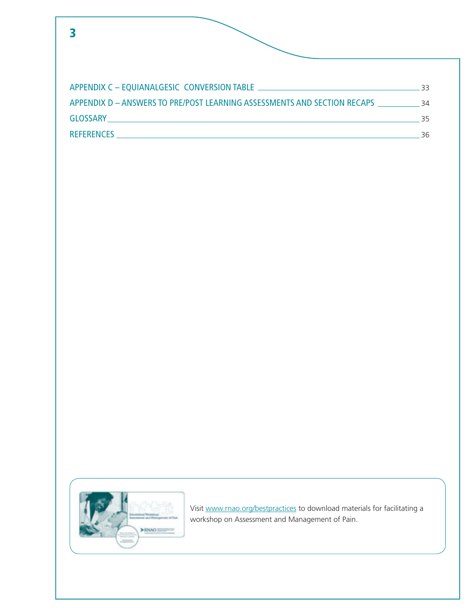| APPENDIX D - ANSWERS TO PRE/POST LEARNING ASSESSMENTS AND SECTION RECAPS 34 |    |
|-----------------------------------------------------------------------------|----|
|                                                                             | 35 |
|                                                                             | 36 |



Visit www.rnao.org/bestpractices to download materials for facilitating a workshop on Assessment and Management of Pain.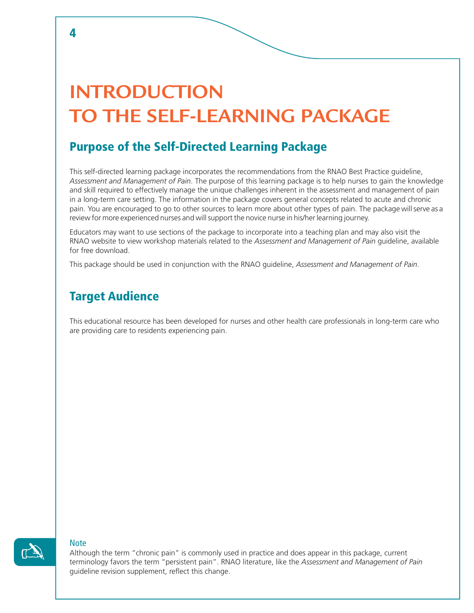## **INTRODUCTION TO THE SELF-LEARNING PACKAGE**

## Purpose of the Self-Directed Learning Package

This self-directed learning package incorporates the recommendations from the RNAO Best Practice guideline, *Assessment and Management of Pain*. The purpose of this learning package is to help nurses to gain the knowledge and skill required to effectively manage the unique challenges inherent in the assessment and management of pain in a long-term care setting. The information in the package covers general concepts related to acute and chronic pain. You are encouraged to go to other sources to learn more about other types of pain. The package will serve as a review for more experienced nurses and will support the novice nurse in his/her learning journey.

Educators may want to use sections of the package to incorporate into a teaching plan and may also visit the RNAO website to view workshop materials related to the *Assessment and Management of Pain* guideline, available for free download.

This package should be used in conjunction with the RNAO guideline, *Assessment and Management of Pain*.

## Target Audience

This educational resource has been developed for nurses and other health care professionals in long-term care who are providing care to residents experiencing pain.



#### **Note**

Although the term "chronic pain" is commonly used in practice and does appear in this package, current terminology favors the term "persistent pain". RNAO literature, like the *Assessment and Management of Pain* guideline revision supplement, reflect this change.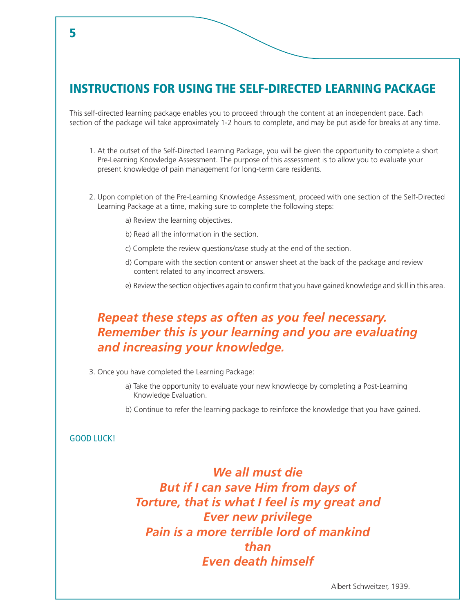## INSTRUCTIONS FOR USING THE SELF-DIRECTED LEARNING PACKAGE

This self-directed learning package enables you to proceed through the content at an independent pace. Each section of the package will take approximately 1-2 hours to complete, and may be put aside for breaks at any time.

- 1. At the outset of the Self-Directed Learning Package, you will be given the opportunity to complete a short Pre-Learning Knowledge Assessment. The purpose of this assessment is to allow you to evaluate your present knowledge of pain management for long-term care residents.
- 2. Upon completion of the Pre-Learning Knowledge Assessment, proceed with one section of the Self-Directed Learning Package at a time, making sure to complete the following steps:
	- a) Review the learning objectives.
	- b) Read all the information in the section.
	- c) Complete the review questions/case study at the end of the section.
	- d) Compare with the section content or answer sheet at the back of the package and review content related to any incorrect answers.
	- e) Review the section objectives again to confirm that you have gained knowledge and skill in this area.

## *Repeat these steps as often as you feel necessary. Remember this is your learning and you are evaluating and increasing your knowledge.*

- 3. Once you have completed the Learning Package:
	- a) Take the opportunity to evaluate your new knowledge by completing a Post-Learning Knowledge Evaluation.
	- b) Continue to refer the learning package to reinforce the knowledge that you have gained.

### GOOD LUCK!

*We all must die But if I can save Him from days of Torture, that is what I feel is my great and Ever new privilege Pain is a more terrible lord of mankind than Even death himself*

5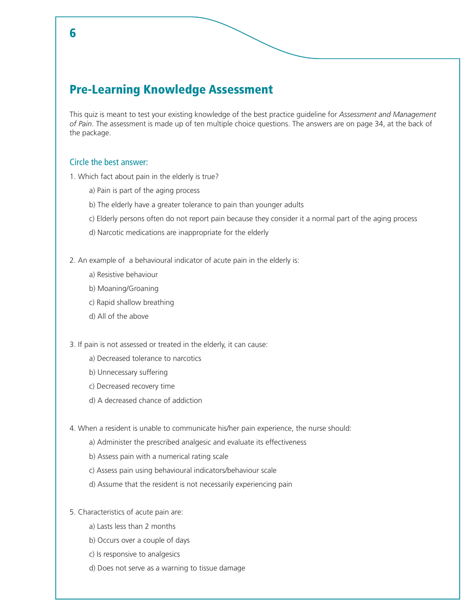## Pre-Learning Knowledge Assessment

This quiz is meant to test your existing knowledge of the best practice guideline for *Assessment and Management of Pain*. The assessment is made up of ten multiple choice questions. The answers are on page 34, at the back of the package.

### Circle the best answer:

1. Which fact about pain in the elderly is true?

- a) Pain is part of the aging process
- b) The elderly have a greater tolerance to pain than younger adults
- c) Elderly persons often do not report pain because they consider it a normal part of the aging process
- d) Narcotic medications are inappropriate for the elderly

2. An example of a behavioural indicator of acute pain in the elderly is:

- a) Resistive behaviour
- b) Moaning/Groaning
- c) Rapid shallow breathing
- d) All of the above

3. If pain is not assessed or treated in the elderly, it can cause:

- a) Decreased tolerance to narcotics
- b) Unnecessary suffering
- c) Decreased recovery time
- d) A decreased chance of addiction
- 4. When a resident is unable to communicate his/her pain experience, the nurse should:
	- a) Administer the prescribed analgesic and evaluate its effectiveness
	- b) Assess pain with a numerical rating scale
	- c) Assess pain using behavioural indicators/behaviour scale
	- d) Assume that the resident is not necessarily experiencing pain

### 5. Characteristics of acute pain are:

- a) Lasts less than 2 months
- b) Occurs over a couple of days
- c) Is responsive to analgesics
- d) Does not serve as a warning to tissue damage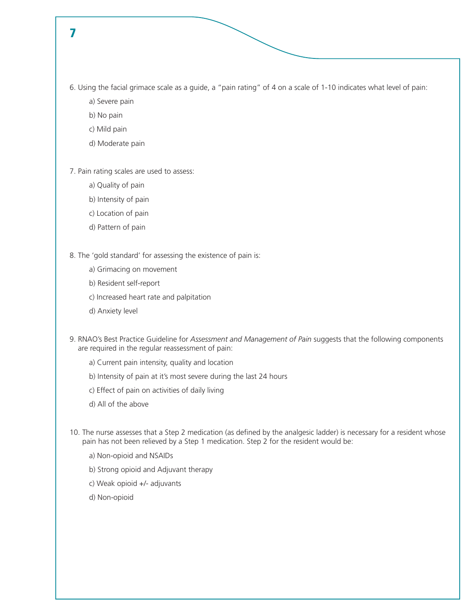- 6. Using the facial grimace scale as a guide, a "pain rating" of 4 on a scale of 1-10 indicates what level of pain:
	- a) Severe pain
	- b) No pain
	- c) Mild pain
	- d) Moderate pain

7. Pain rating scales are used to assess:

- a) Quality of pain
- b) Intensity of pain
- c) Location of pain
- d) Pattern of pain

8. The 'gold standard' for assessing the existence of pain is:

- a) Grimacing on movement
- b) Resident self-report
- c) Increased heart rate and palpitation
- d) Anxiety level
- 9. RNAO's Best Practice Guideline for *Assessment and Management of Pain* suggests that the following components are required in the regular reassessment of pain:
	- a) Current pain intensity, quality and location
	- b) Intensity of pain at it's most severe during the last 24 hours
	- c) Effect of pain on activities of daily living
	- d) All of the above
- 10. The nurse assesses that a Step 2 medication (as defined by the analgesic ladder) is necessary for a resident whose pain has not been relieved by a Step 1 medication. Step 2 for the resident would be:
	- a) Non-opioid and NSAIDs
	- b) Strong opioid and Adjuvant therapy
	- c) Weak opioid +/- adjuvants
	- d) Non-opioid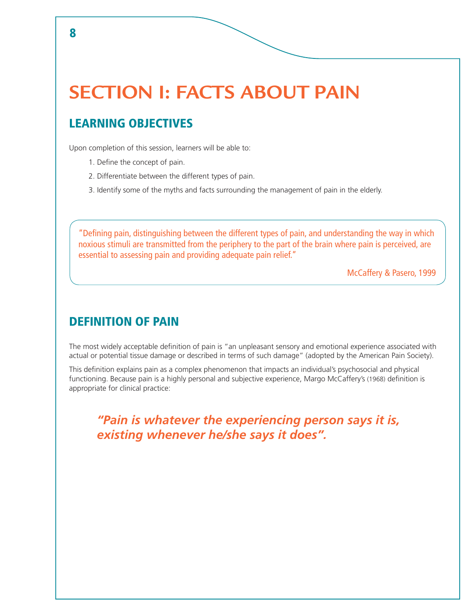## **SECTION I: FACTS ABOUT PAIN**

## LEARNING OBJECTIVES

Upon completion of this session, learners will be able to:

- 1. Define the concept of pain.
- 2. Differentiate between the different types of pain.
- 3. Identify some of the myths and facts surrounding the management of pain in the elderly.

"Defining pain, distinguishing between the different types of pain, and understanding the way in which noxious stimuli are transmitted from the periphery to the part of the brain where pain is perceived, are essential to assessing pain and providing adequate pain relief."

McCaffery & Pasero, 1999

### DEFINITION OF PAIN

The most widely acceptable definition of pain is "an unpleasant sensory and emotional experience associated with actual or potential tissue damage or described in terms of such damage" (adopted by the American Pain Society).

This definition explains pain as a complex phenomenon that impacts an individual's psychosocial and physical functioning. Because pain is a highly personal and subjective experience, Margo McCaffery's (1968) definition is appropriate for clinical practice:

*"Pain is whatever the experiencing person says it is, existing whenever he/she says it does".*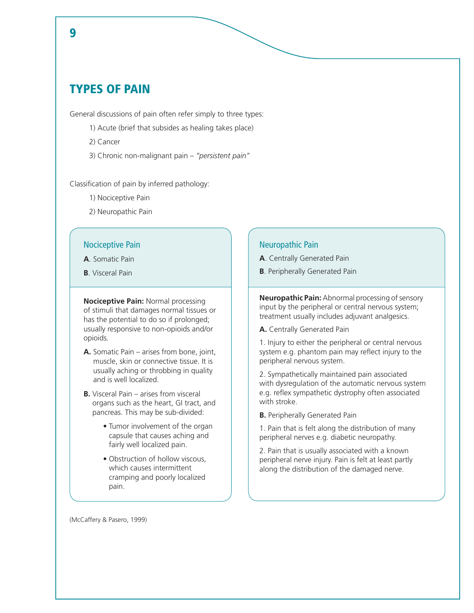## TYPES OF PAIN

General discussions of pain often refer simply to three types:

- 1) Acute (brief that subsides as healing takes place)
- 2) Cancer
- 3) Chronic non-malignant pain *"persistent pain"*

Classification of pain by inferred pathology:

- 1) Nociceptive Pain
- 2) Neuropathic Pain

### Nociceptive Pain

**A**. Somatic Pain

**B**. Visceral Pain

**Nociceptive Pain:** Normal processing of stimuli that damages normal tissues or has the potential to do so if prolonged; usually responsive to non-opioids and/or opioids.

- **A.** Somatic Pain arises from bone, joint, muscle, skin or connective tissue. It is usually aching or throbbing in quality and is well localized.
- **B.** Visceral Pain arises from visceral organs such as the heart, GI tract, and pancreas. This may be sub-divided:
	- Tumor involvement of the organ capsule that causes aching and fairly well localized pain.
	- Obstruction of hollow viscous, which causes intermittent cramping and poorly localized pain.

### Neuropathic Pain

- **A**. Centrally Generated Pain
- **B**. Peripherally Generated Pain

**Neuropathic Pain:** Abnormal processing of sensory input by the peripheral or central nervous system; treatment usually includes adjuvant analgesics.

**A.** Centrally Generated Pain

1. Injury to either the peripheral or central nervous system e.g. phantom pain may reflect injury to the peripheral nervous system.

2. Sympathetically maintained pain associated with dysregulation of the automatic nervous system e.g. reflex sympathetic dystrophy often associated with stroke.

**B.** Peripherally Generated Pain

1. Pain that is felt along the distribution of many peripheral nerves e.g. diabetic neuropathy.

2. Pain that is usually associated with a known peripheral nerve injury. Pain is felt at least partly along the distribution of the damaged nerve.

(McCaffery & Pasero, 1999)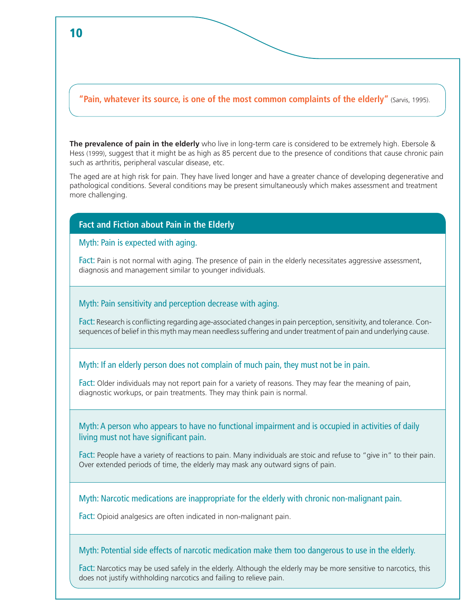### **"Pain, whatever its source, is one of the most common complaints of the elderly"** (Sarvis, 1995).

**The prevalence of pain in the elderly** who live in long-term care is considered to be extremely high. Ebersole & Hess (1999), suggest that it might be as high as 85 percent due to the presence of conditions that cause chronic pain such as arthritis, peripheral vascular disease, etc.

The aged are at high risk for pain. They have lived longer and have a greater chance of developing degenerative and pathological conditions. Several conditions may be present simultaneously which makes assessment and treatment more challenging.

### **Fact and Fiction about Pain in the Elderly**

### Myth: Pain is expected with aging.

Fact: Pain is not normal with aging. The presence of pain in the elderly necessitates aggressive assessment, diagnosis and management similar to younger individuals.

### Myth: Pain sensitivity and perception decrease with aging.

Fact: Research is conflicting regarding age-associated changes in pain perception, sensitivity, and tolerance. Consequences of belief in this myth may mean needless suffering and under treatment of pain and underlying cause.

### Myth: If an elderly person does not complain of much pain, they must not be in pain.

Fact: Older individuals may not report pain for a variety of reasons. They may fear the meaning of pain, diagnostic workups, or pain treatments. They may think pain is normal.

### Myth: A person who appears to have no functional impairment and is occupied in activities of daily living must not have significant pain.

Fact: People have a variety of reactions to pain. Many individuals are stoic and refuse to "give in" to their pain. Over extended periods of time, the elderly may mask any outward signs of pain.

Myth: Narcotic medications are inappropriate for the elderly with chronic non-malignant pain.

Fact: Opioid analgesics are often indicated in non-malignant pain.

#### Myth: Potential side effects of narcotic medication make them too dangerous to use in the elderly.

Fact: Narcotics may be used safely in the elderly. Although the elderly may be more sensitive to narcotics, this does not justify withholding narcotics and failing to relieve pain.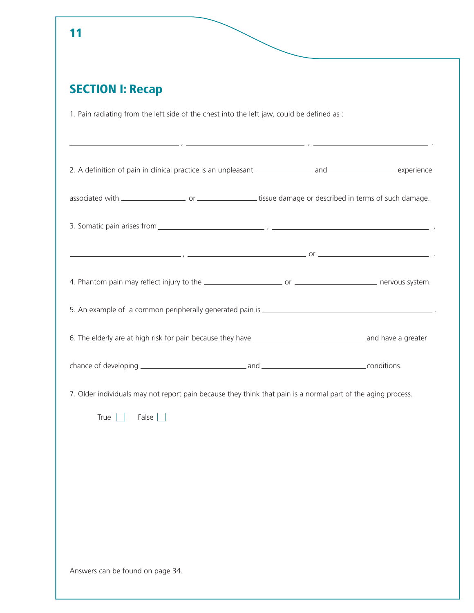| <b>SECTION I: Recap</b>                                                                                      |  |
|--------------------------------------------------------------------------------------------------------------|--|
| 1. Pain radiating from the left side of the chest into the left jaw, could be defined as :                   |  |
|                                                                                                              |  |
|                                                                                                              |  |
|                                                                                                              |  |
|                                                                                                              |  |
|                                                                                                              |  |
|                                                                                                              |  |
|                                                                                                              |  |
|                                                                                                              |  |
|                                                                                                              |  |
|                                                                                                              |  |
| 7. Older individuals may not report pain because they think that pain is a normal part of the aging process. |  |
| False $\Box$<br>True                                                                                         |  |
|                                                                                                              |  |
|                                                                                                              |  |
|                                                                                                              |  |
|                                                                                                              |  |
|                                                                                                              |  |
|                                                                                                              |  |
|                                                                                                              |  |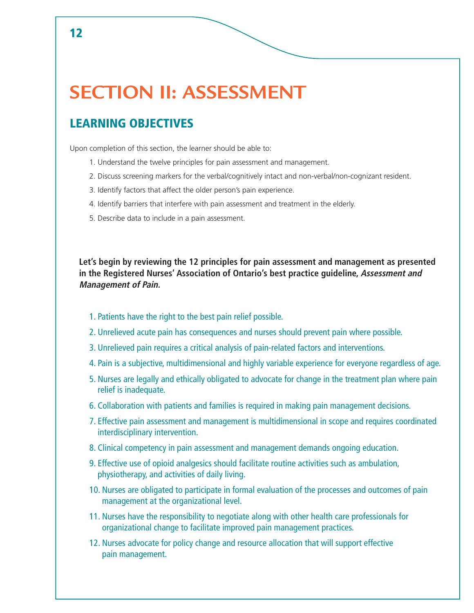## **SECTION II: ASSESSMENT**

## LEARNING OBJECTIVES

Upon completion of this section, the learner should be able to:

- 1. Understand the twelve principles for pain assessment and management.
- 2. Discuss screening markers for the verbal/cognitively intact and non-verbal/non-cognizant resident.
- 3. Identify factors that affect the older person's pain experience.
- 4. Identify barriers that interfere with pain assessment and treatment in the elderly.
- 5. Describe data to include in a pain assessment.

**Let's begin by reviewing the 12 principles for pain assessment and management as presented in the Registered Nurses' Association of Ontario's best practice guideline, Assessment and Management of Pain.**

- 1. Patients have the right to the best pain relief possible.
- 2. Unrelieved acute pain has consequences and nurses should prevent pain where possible.
- 3. Unrelieved pain requires a critical analysis of pain-related factors and interventions.
- 4. Pain is a subjective, multidimensional and highly variable experience for everyone regardless of age.
- 5. Nurses are legally and ethically obligated to advocate for change in the treatment plan where pain relief is inadequate.
- 6. Collaboration with patients and families is required in making pain management decisions.
- 7. Effective pain assessment and management is multidimensional in scope and requires coordinated interdisciplinary intervention.
- 8. Clinical competency in pain assessment and management demands ongoing education.
- 9. Effective use of opioid analgesics should facilitate routine activities such as ambulation, physiotherapy, and activities of daily living.
- 10. Nurses are obligated to participate in formal evaluation of the processes and outcomes of pain management at the organizational level.
- 11. Nurses have the responsibility to negotiate along with other health care professionals for organizational change to facilitate improved pain management practices.
- 12. Nurses advocate for policy change and resource allocation that will support effective pain management.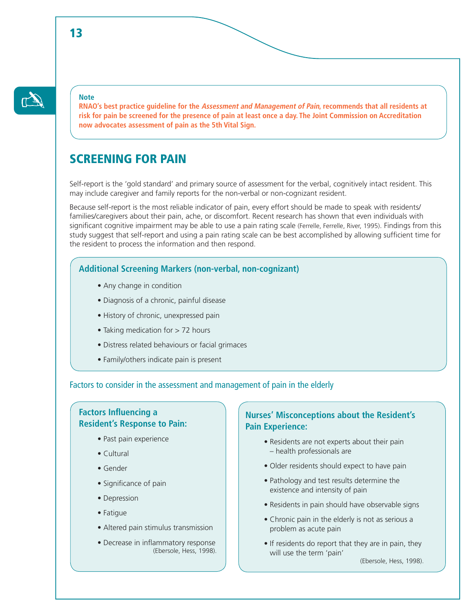### **Note**

 $\mathbb{C}^{\mathbb{Z}}$ 

**RNAO's best practice guideline for the Assessment and Management of Pain, recommends that all residents at risk for pain be screened for the presence of pain at least once a day. The Joint Commission on Accreditation now advocates assessment of pain as the 5th Vital Sign.** 

## SCREENING FOR PAIN

Self-report is the 'gold standard' and primary source of assessment for the verbal, cognitively intact resident. This may include caregiver and family reports for the non-verbal or non-cognizant resident.

Because self-report is the most reliable indicator of pain, every effort should be made to speak with residents/ families/caregivers about their pain, ache, or discomfort. Recent research has shown that even individuals with significant cognitive impairment may be able to use a pain rating scale (Ferrelle, Ferrelle, River, 1995). Findings from this study suggest that self-report and using a pain rating scale can be best accomplished by allowing sufficient time for the resident to process the information and then respond.

### **Additional Screening Markers (non-verbal, non-cognizant)**

- Any change in condition
- Diagnosis of a chronic, painful disease
- History of chronic, unexpressed pain
- Taking medication for > 72 hours
- Distress related behaviours or facial grimaces
- Family/others indicate pain is present

### Factors to consider in the assessment and management of pain in the elderly

### **Factors Influencing a Resident's Response to Pain:**

- Past pain experience
- Cultural
- Gender
- Significance of pain
- Depression
- Fatigue
- Altered pain stimulus transmission
- Decrease in inflammatory response (Ebersole, Hess, 1998).

### **Nurses' Misconceptions about the Resident's Pain Experience:**

- Residents are not experts about their pain – health professionals are
- Older residents should expect to have pain
- Pathology and test results determine the existence and intensity of pain
- Residents in pain should have observable signs
- Chronic pain in the elderly is not as serious a problem as acute pain
- If residents do report that they are in pain, they will use the term 'pain'

(Ebersole, Hess, 1998).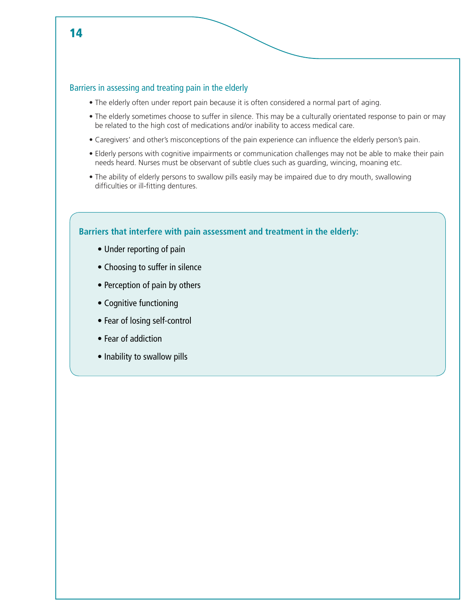

### Barriers in assessing and treating pain in the elderly

- The elderly often under report pain because it is often considered a normal part of aging.
- The elderly sometimes choose to suffer in silence. This may be a culturally orientated response to pain or may be related to the high cost of medications and/or inability to access medical care.
- Caregivers' and other's misconceptions of the pain experience can influence the elderly person's pain.
- Elderly persons with cognitive impairments or communication challenges may not be able to make their pain needs heard. Nurses must be observant of subtle clues such as guarding, wincing, moaning etc.
- The ability of elderly persons to swallow pills easily may be impaired due to dry mouth, swallowing difficulties or ill-fitting dentures.

### **Barriers that interfere with pain assessment and treatment in the elderly:**

- Under reporting of pain
- Choosing to suffer in silence
- Perception of pain by others
- Cognitive functioning
- Fear of losing self-control
- Fear of addiction
- Inability to swallow pills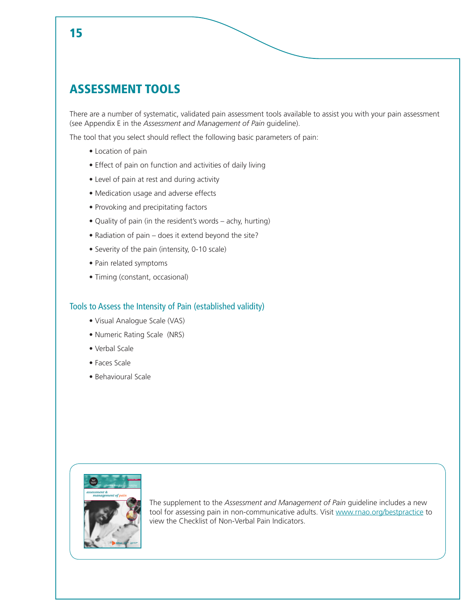## ASSESSMENT TOOLS

There are a number of systematic, validated pain assessment tools available to assist you with your pain assessment (see Appendix E in the *Assessment and Management of Pain* guideline).

The tool that you select should reflect the following basic parameters of pain:

- Location of pain
- Effect of pain on function and activities of daily living
- Level of pain at rest and during activity
- Medication usage and adverse effects
- Provoking and precipitating factors
- Quality of pain (in the resident's words achy, hurting)
- Radiation of pain does it extend beyond the site?
- Severity of the pain (intensity, 0-10 scale)
- Pain related symptoms
- Timing (constant, occasional)

### Tools to Assess the Intensity of Pain (established validity)

- Visual Analogue Scale (VAS)
- Numeric Rating Scale (NRS)
- Verbal Scale
- Faces Scale
- Behavioural Scale



The supplement to the *Assessment and Management of Pain* guideline includes a new tool for assessing pain in non-communicative adults. Visit www.rnao.org/bestpractice to view the Checklist of Non-Verbal Pain Indicators.

### 15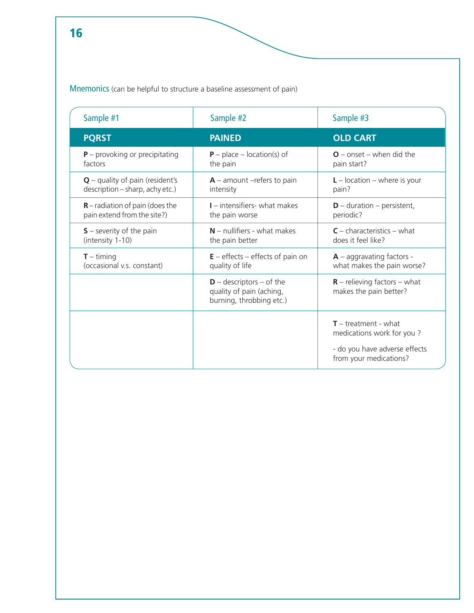Mnemonics (can be helpful to structure a baseline assessment of pain)

| Sample #1                         | Sample #2                                                                            | Sample #3                                                                                                      |
|-----------------------------------|--------------------------------------------------------------------------------------|----------------------------------------------------------------------------------------------------------------|
| <b>PQRST</b>                      | <b>PAINED</b>                                                                        | <b>OLD CART</b>                                                                                                |
| $P$ – provoking or precipitating  | $P$ – place – location(s) of                                                         | $O$ – onset – when did the                                                                                     |
| factors                           | the pain                                                                             | pain start?                                                                                                    |
| $Q$ – quality of pain (resident's | $A$ – amount –refers to pain                                                         | $L$ – location – where is your                                                                                 |
| description - sharp, achy etc.)   | intensity                                                                            | pain?                                                                                                          |
| $R$ – radiation of pain (does the | $I$ – intensifiers- what makes                                                       | $D$ – duration – persistent,                                                                                   |
| pain extend from the site?)       | the pain worse                                                                       | periodic?                                                                                                      |
| $S$ – severity of the pain        | $N$ – nullifiers - what makes                                                        | $C$ – characteristics – what                                                                                   |
| (intensity 1-10)                  | the pain better                                                                      | does it feel like?                                                                                             |
| $T -$ timing                      | $E$ – effects – effects of pain on                                                   | $A$ – aggravating factors -                                                                                    |
| (occasional v.s. constant)        | quality of life                                                                      | what makes the pain worse?                                                                                     |
|                                   | $D -$ descriptors $-$ of the<br>quality of pain (aching,<br>burning, throbbing etc.) | $R$ – relieving factors – what<br>makes the pain better?                                                       |
|                                   |                                                                                      | $T$ – treatment - what<br>medications work for you?<br>- do you have adverse effects<br>from your medications? |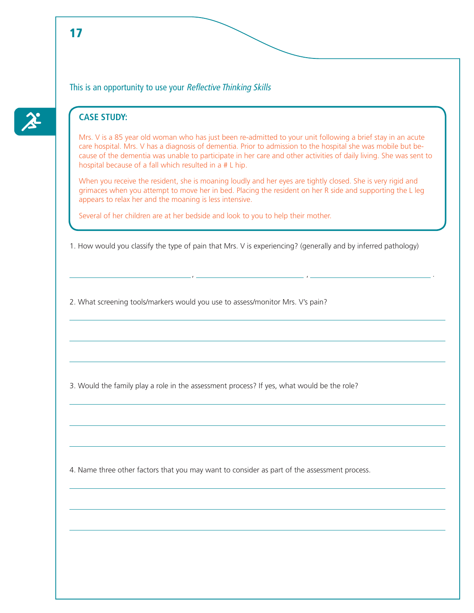This is an opportunity to use your Reflective Thinking Skills

### **CASE STUDY:**

Mrs. V is a 85 year old woman who has just been re-admitted to your unit following a brief stay in an acute care hospital. Mrs. V has a diagnosis of dementia. Prior to admission to the hospital she was mobile but because of the dementia was unable to participate in her care and other activities of daily living. She was sent to hospital because of a fall which resulted in a # L hip.

When you receive the resident, she is moaning loudly and her eyes are tightly closed. She is very rigid and grimaces when you attempt to move her in bed. Placing the resident on her R side and supporting the L leg appears to relax her and the moaning is less intensive.

Several of her children are at her bedside and look to you to help their mother.

1. How would you classify the type of pain that Mrs. V is experiencing? (generally and by inferred pathology)

, , .

2. What screening tools/markers would you use to assess/monitor Mrs. V's pain?

3. Would the family play a role in the assessment process? If yes, what would be the role?

4. Name three other factors that you may want to consider as part of the assessment process.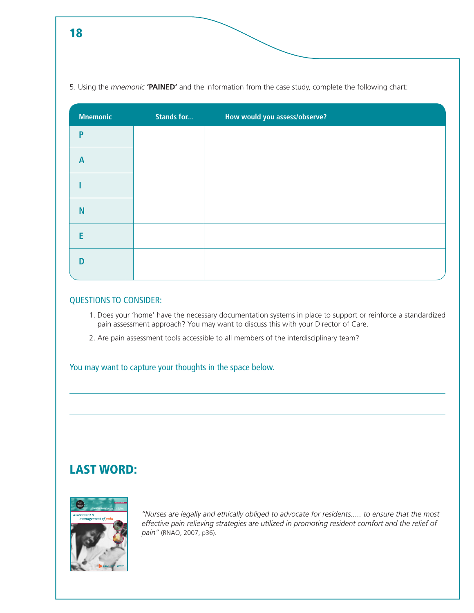5. Using the *mnemonic* **'PAINED'** and the information from the case study, complete the following chart:

| <b>Mnemonic</b> | <b>Stands for</b> | How would you assess/observe? |
|-----------------|-------------------|-------------------------------|
| P               |                   |                               |
| $\overline{A}$  |                   |                               |
|                 |                   |                               |
| <b>N</b>        |                   |                               |
| E               |                   |                               |
| D               |                   |                               |

### QUESTIONS TO CONSIDER:

- 1. Does your 'home' have the necessary documentation systems in place to support or reinforce a standardized pain assessment approach? You may want to discuss this with your Director of Care.
- 2. Are pain assessment tools accessible to all members of the interdisciplinary team?

### You may want to capture your thoughts in the space below.

## LAST WORD:



*"Nurses are legally and ethically obliged to advocate for residents..... to ensure that the most effective pain relieving strategies are utilized in promoting resident comfort and the relief of pain"* (RNAO, 2007, p36).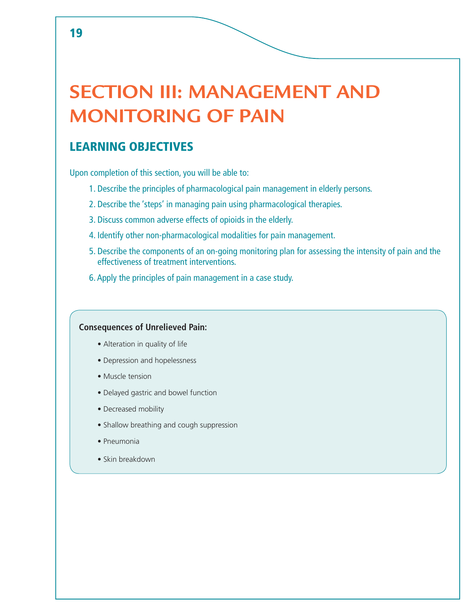## **SECTION III: MANAGEMENT AND MONITORING OF PAIN**

## LEARNING OBJECTIVES

Upon completion of this section, you will be able to:

- 1. Describe the principles of pharmacological pain management in elderly persons.
- 2. Describe the 'steps' in managing pain using pharmacological therapies.
- 3. Discuss common adverse effects of opioids in the elderly.
- 4. Identify other non-pharmacological modalities for pain management.
- 5. Describe the components of an on-going monitoring plan for assessing the intensity of pain and the effectiveness of treatment interventions.
- 6. Apply the principles of pain management in a case study.

### **Consequences of Unrelieved Pain:**

- Alteration in quality of life
- Depression and hopelessness
- Muscle tension
- Delayed gastric and bowel function
- Decreased mobility
- Shallow breathing and cough suppression
- Pneumonia
- Skin breakdown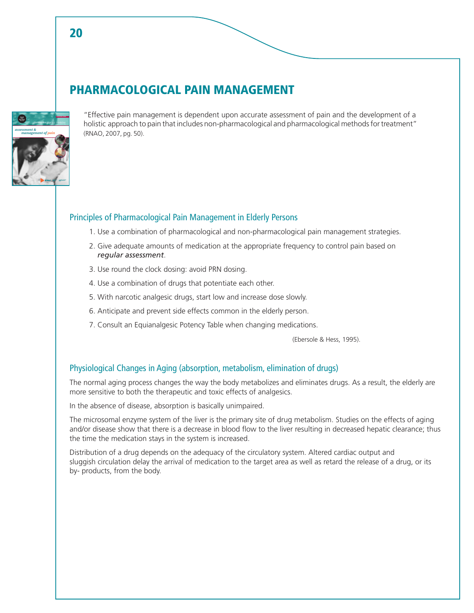## PHARMACOLOGICAL PAIN MANAGEMENT



20

"Effective pain management is dependent upon accurate assessment of pain and the development of a holistic approach to pain that includes non-pharmacological and pharmacological methods for treatment" (RNAO, 2007, pg. 50).

### Principles of Pharmacological Pain Management in Elderly Persons

- 1. Use a combination of pharmacological and non-pharmacological pain management strategies.
- 2. Give adequate amounts of medication at the appropriate frequency to control pain based on *regular assessment*.
- 3. Use round the clock dosing: avoid PRN dosing.
- 4. Use a combination of drugs that potentiate each other.
- 5. With narcotic analgesic drugs, start low and increase dose slowly.
- 6. Anticipate and prevent side effects common in the elderly person.
- 7. Consult an Equianalgesic Potency Table when changing medications.

(Ebersole & Hess, 1995).

### Physiological Changes in Aging (absorption, metabolism, elimination of drugs)

The normal aging process changes the way the body metabolizes and eliminates drugs. As a result, the elderly are more sensitive to both the therapeutic and toxic effects of analgesics.

In the absence of disease, absorption is basically unimpaired.

The microsomal enzyme system of the liver is the primary site of drug metabolism. Studies on the effects of aging and/or disease show that there is a decrease in blood flow to the liver resulting in decreased hepatic clearance; thus the time the medication stays in the system is increased.

Distribution of a drug depends on the adequacy of the circulatory system. Altered cardiac output and sluggish circulation delay the arrival of medication to the target area as well as retard the release of a drug, or its by- products, from the body.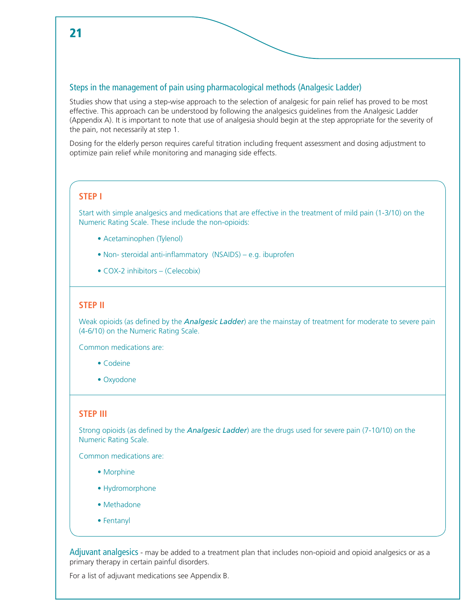### Steps in the management of pain using pharmacological methods (Analgesic Ladder)

Studies show that using a step-wise approach to the selection of analgesic for pain relief has proved to be most effective. This approach can be understood by following the analgesics guidelines from the Analgesic Ladder (Appendix A). It is important to note that use of analgesia should begin at the step appropriate for the severity of the pain, not necessarily at step 1.

Dosing for the elderly person requires careful titration including frequent assessment and dosing adjustment to optimize pain relief while monitoring and managing side effects.

### **STEP I**

Start with simple analgesics and medications that are effective in the treatment of mild pain (1-3/10) on the Numeric Rating Scale. These include the non-opioids:

- Acetaminophen (Tylenol)
- Non- steroidal anti-inflammatory (NSAIDS) e.g. ibuprofen
- COX-2 inhibitors (Celecobix)

### **STEP II**

Weak opioids (as defined by the *Analgesic Ladder*) are the mainstay of treatment for moderate to severe pain (4-6/10) on the Numeric Rating Scale.

Common medications are:

- Codeine
- Oxyodone

### **STEP III**

Strong opioids (as defined by the *Analgesic Ladder*) are the drugs used for severe pain (7-10/10) on the Numeric Rating Scale.

Common medications are:

- Morphine
- Hydromorphone
- Methadone
- Fentanyl

Adjuvant analgesics - may be added to a treatment plan that includes non-opioid and opioid analgesics or as a primary therapy in certain painful disorders.

For a list of adjuvant medications see Appendix B.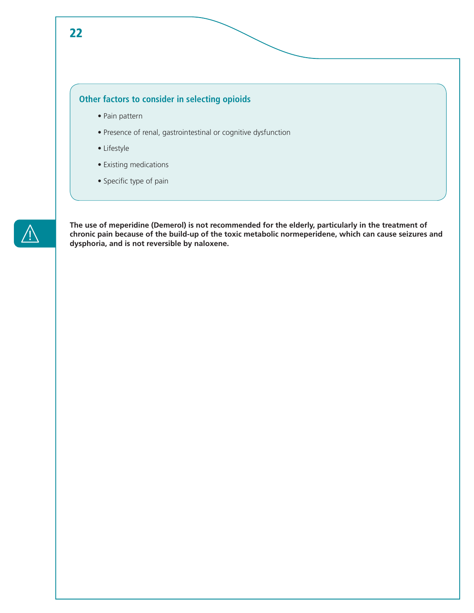### **Other factors to consider in selecting opioids**

- Pain pattern
- Presence of renal, gastrointestinal or cognitive dysfunction
- Lifestyle
- Existing medications
- Specific type of pain



**The use of meperidine (Demerol) is not recommended for the elderly, particularly in the treatment of chronic pain because of the build-up of the toxic metabolic normeperidene, which can cause seizures and dysphoria, and is not reversible by naloxene.**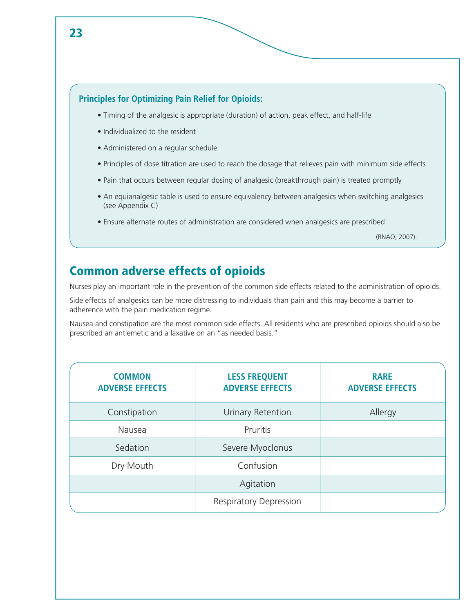### **Principles for Optimizing Pain Relief for Opioids:**

- Timing of the analgesic is appropriate (duration) of action, peak effect, and half-life
- Individualized to the resident
- Administered on a regular schedule
- Principles of dose titration are used to reach the dosage that relieves pain with minimum side effects
- Pain that occurs between regular dosing of analgesic (breakthrough pain) is treated promptly
- An equianalgesic table is used to ensure equivalency between analgesics when switching analgesics (see Appendix C)
- Ensure alternate routes of administration are considered when analgesics are prescribed

(RNAO, 2007).

## Common adverse effects of opioids

Nurses play an important role in the prevention of the common side effects related to the administration of opioids.

Side effects of analgesics can be more distressing to individuals than pain and this may become a barrier to adherence with the pain medication regime.

Nausea and constipation are the most common side effects. All residents who are prescribed opioids should also be prescribed an antiemetic and a laxative on an "as needed basis."

| <b>COMMON</b><br><b>ADVERSE EFFECTS</b> | <b>LESS FREQUENT</b><br><b>ADVERSE EFFECTS</b> | <b>RARE</b><br><b>ADVERSE EFFECTS</b> |
|-----------------------------------------|------------------------------------------------|---------------------------------------|
| Constipation                            | Urinary Retention                              | Allergy                               |
| Nausea                                  | Pruritis                                       |                                       |
| Sedation                                | Severe Myoclonus                               |                                       |
| Dry Mouth                               | Confusion                                      |                                       |
|                                         | Agitation                                      |                                       |
|                                         | <b>Respiratory Depression</b>                  |                                       |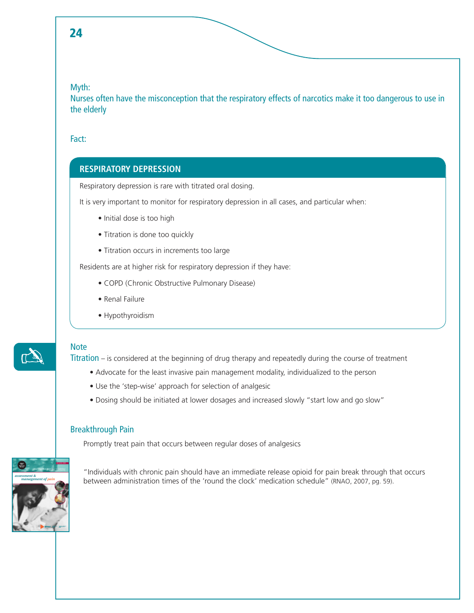### Myth:

Nurses often have the misconception that the respiratory effects of narcotics make it too dangerous to use in the elderly

### Fact:

### **RESPIRATORY DEPRESSION**

Respiratory depression is rare with titrated oral dosing.

It is very important to monitor for respiratory depression in all cases, and particular when:

- Initial dose is too high
- Titration is done too quickly
- Titration occurs in increments too large

Residents are at higher risk for respiratory depression if they have:

- COPD (Chronic Obstructive Pulmonary Disease)
- Renal Failure
- Hypothyroidism

# $\mathbb{Z}$

### **Note**

Titration – is considered at the beginning of drug therapy and repeatedly during the course of treatment

- Advocate for the least invasive pain management modality, individualized to the person
- Use the 'step-wise' approach for selection of analgesic
- Dosing should be initiated at lower dosages and increased slowly "start low and go slow"

### Breakthrough Pain

Promptly treat pain that occurs between regular doses of analgesics



"Individuals with chronic pain should have an immediate release opioid for pain break through that occurs between administration times of the 'round the clock' medication schedule" (RNAO, 2007, pg. 59).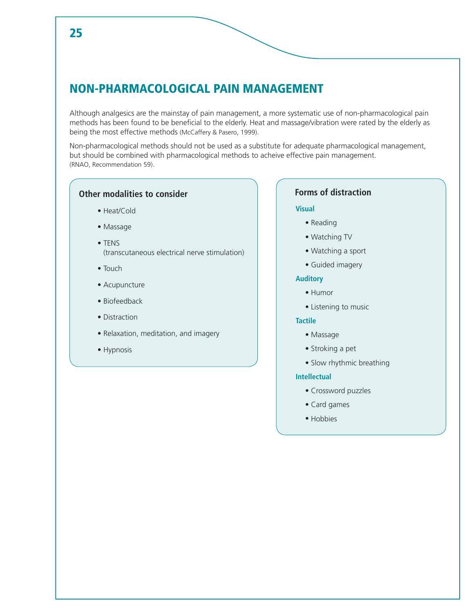## NON-PHARMACOLOGICAL PAIN MANAGEMENT

Although analgesics are the mainstay of pain management, a more systematic use of non-pharmacological pain methods has been found to be beneficial to the elderly. Heat and massage/vibration were rated by the elderly as being the most effective methods (McCaffery & Pasero, 1999).

Non-pharmacological methods should not be used as a substitute for adequate pharmacological management, but should be combined with pharmacological methods to acheive effective pain management. (RNAO, Recommendation 59).

### **Other modalities to consider**

- Heat/Cold
- Massage
- TENS (transcutaneous electrical nerve stimulation)
- Touch
- Acupuncture
- Biofeedback
- Distraction
- Relaxation, meditation, and imagery
- Hypnosis

### **Forms of distraction**

#### **Visual**

- Reading
- Watching TV
- Watching a sport
- Guided imagery

#### **Auditory**

- Humor
- Listening to music

#### **Tactile**

- Massage
- Stroking a pet
- Slow rhythmic breathing

#### **Intellectual**

- Crossword puzzles
- Card games
- Hobbies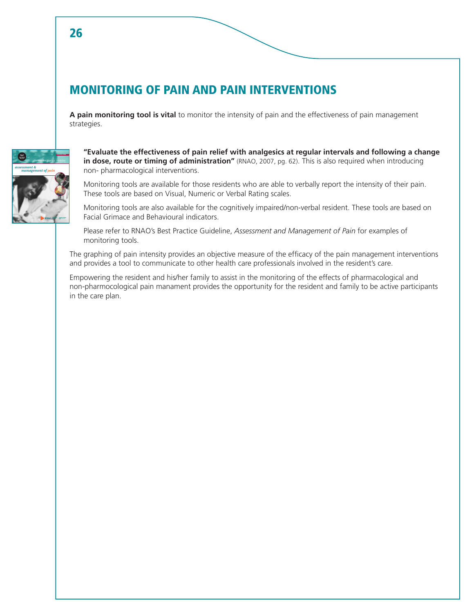## MONITORING OF PAIN AND PAIN INTERVENTIONS

**A pain monitoring tool is vital** to monitor the intensity of pain and the effectiveness of pain management strategies.



**"Evaluate the effectiveness of pain relief with analgesics at regular intervals and following a change in dose, route or timing of administration"** (RNAO, 2007, pg. 62). This is also required when introducing non- pharmacological interventions.

Monitoring tools are available for those residents who are able to verbally report the intensity of their pain. These tools are based on Visual, Numeric or Verbal Rating scales.

Monitoring tools are also available for the cognitively impaired/non-verbal resident. These tools are based on Facial Grimace and Behavioural indicators.

Please refer to RNAO's Best Practice Guideline, *Assessment and Management of Pain* for examples of monitoring tools.

The graphing of pain intensity provides an objective measure of the efficacy of the pain management interventions and provides a tool to communicate to other health care professionals involved in the resident's care.

Empowering the resident and his/her family to assist in the monitoring of the effects of pharmacological and non-pharmocological pain manament provides the opportunity for the resident and family to be active participants in the care plan.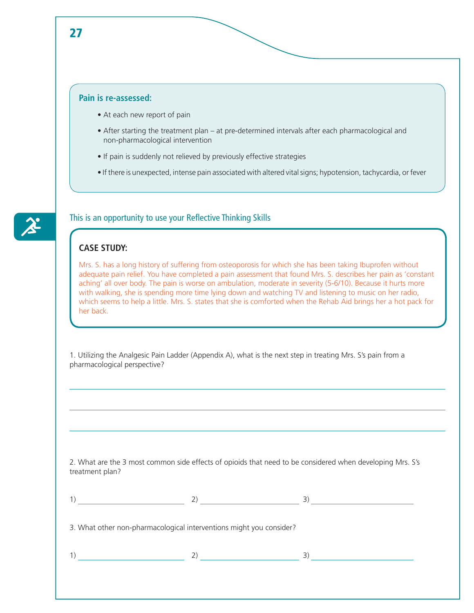### **Pain is re-assessed:**

- At each new report of pain
- After starting the treatment plan at pre-determined intervals after each pharmacological and non-pharmacological intervention
- If pain is suddenly not relieved by previously effective strategies
- If there is unexpected, intense pain associated with altered vital signs; hypotension, tachycardia, or fever



### This is an opportunity to use your Reflective Thinking Skills

### **CASE STUDY:**

Mrs. S. has a long history of suffering from osteoporosis for which she has been taking Ibuprofen without adequate pain relief. You have completed a pain assessment that found Mrs. S. describes her pain as 'constant aching' all over body. The pain is worse on ambulation, moderate in severity (5-6/10). Because it hurts more with walking, she is spending more time lying down and watching TV and listening to music on her radio, which seems to help a little. Mrs. S. states that she is comforted when the Rehab Aid brings her a hot pack for her back.

1. Utilizing the Analgesic Pain Ladder (Appendix A), what is the next step in treating Mrs. S's pain from a pharmacological perspective?

2. What are the 3 most common side effects of opioids that need to be considered when developing Mrs. S's treatment plan?

|                                                                     | 2) | 3) |
|---------------------------------------------------------------------|----|----|
| 3. What other non-pharmacological interventions might you consider? |    |    |
|                                                                     | 2) | 3) |
|                                                                     |    |    |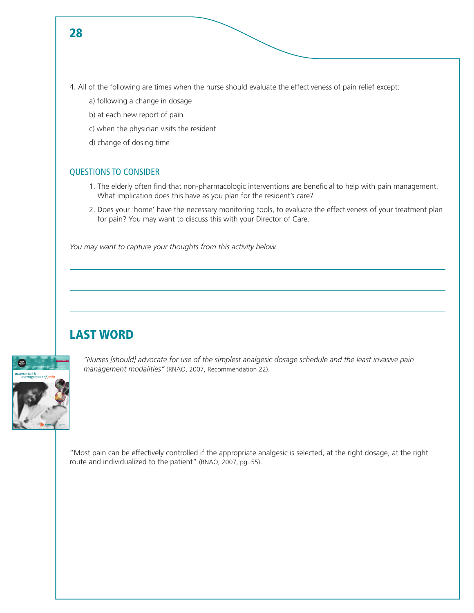- 4. All of the following are times when the nurse should evaluate the effectiveness of pain relief except:
	- a) following a change in dosage
	- b) at each new report of pain
	- c) when the physician visits the resident
	- d) change of dosing time

### QUESTIONS TO CONSIDER

- 1. The elderly often find that non-pharmacologic interventions are beneficial to help with pain management. What implication does this have as you plan for the resident's care?
- 2. Does your 'home' have the necessary monitoring tools, to evaluate the effectiveness of your treatment plan for pain? You may want to discuss this with your Director of Care.

*You may want to capture your thoughts from this activity below.* 

## LAST WORD



*"Nurses [should] advocate for use of the simplest analgesic dosage schedule and the least invasive pain management modalities"* (RNAO, 2007, Recommendation 22).

"Most pain can be effectively controlled if the appropriate analgesic is selected, at the right dosage, at the right route and individualized to the patient" (RNAO, 2007, pg. 55).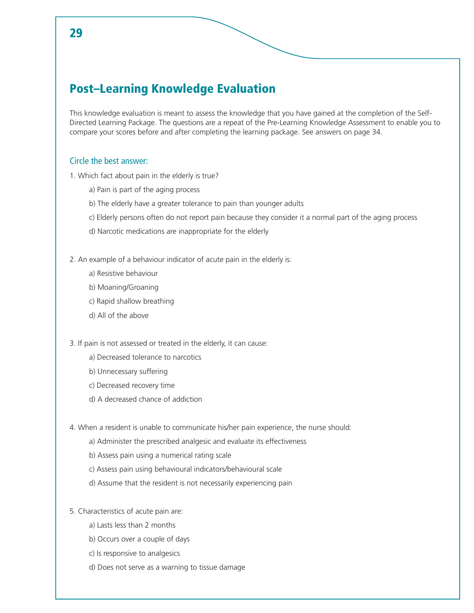## Post–Learning Knowledge Evaluation

This knowledge evaluation is meant to assess the knowledge that you have gained at the completion of the Self-Directed Learning Package. The questions are a repeat of the Pre-Learning Knowledge Assessment to enable you to compare your scores before and after completing the learning package. See answers on page 34.

### Circle the best answer:

1. Which fact about pain in the elderly is true?

- a) Pain is part of the aging process
- b) The elderly have a greater tolerance to pain than younger adults
- c) Elderly persons often do not report pain because they consider it a normal part of the aging process
- d) Narcotic medications are inappropriate for the elderly

2. An example of a behaviour indicator of acute pain in the elderly is:

- a) Resistive behaviour
- b) Moaning/Groaning
- c) Rapid shallow breathing
- d) All of the above

3. If pain is not assessed or treated in the elderly, it can cause:

- a) Decreased tolerance to narcotics
- b) Unnecessary suffering
- c) Decreased recovery time
- d) A decreased chance of addiction
- 4. When a resident is unable to communicate his/her pain experience, the nurse should:
	- a) Administer the prescribed analgesic and evaluate its effectiveness
	- b) Assess pain using a numerical rating scale
	- c) Assess pain using behavioural indicators/behavioural scale
	- d) Assume that the resident is not necessarily experiencing pain
- 5. Characteristics of acute pain are:
	- a) Lasts less than 2 months
	- b) Occurs over a couple of days
	- c) Is responsive to analgesics
	- d) Does not serve as a warning to tissue damage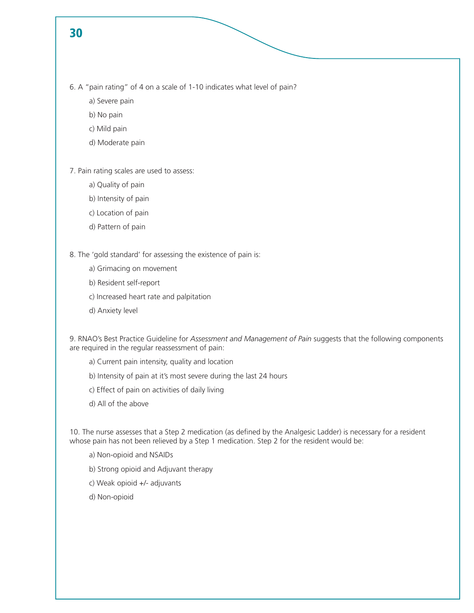6. A "pain rating" of 4 on a scale of 1-10 indicates what level of pain?

- a) Severe pain
- b) No pain
- c) Mild pain
- d) Moderate pain

7. Pain rating scales are used to assess:

- a) Quality of pain
- b) Intensity of pain
- c) Location of pain
- d) Pattern of pain

8. The 'gold standard' for assessing the existence of pain is:

- a) Grimacing on movement
- b) Resident self-report
- c) Increased heart rate and palpitation
- d) Anxiety level

9. RNAO's Best Practice Guideline for *Assessment and Management of Pain* suggests that the following components are required in the regular reassessment of pain:

- a) Current pain intensity, quality and location
- b) Intensity of pain at it's most severe during the last 24 hours
- c) Effect of pain on activities of daily living
- d) All of the above

10. The nurse assesses that a Step 2 medication (as defined by the Analgesic Ladder) is necessary for a resident whose pain has not been relieved by a Step 1 medication. Step 2 for the resident would be:

- a) Non-opioid and NSAIDs
- b) Strong opioid and Adjuvant therapy
- c) Weak opioid +/- adjuvants
- d) Non-opioid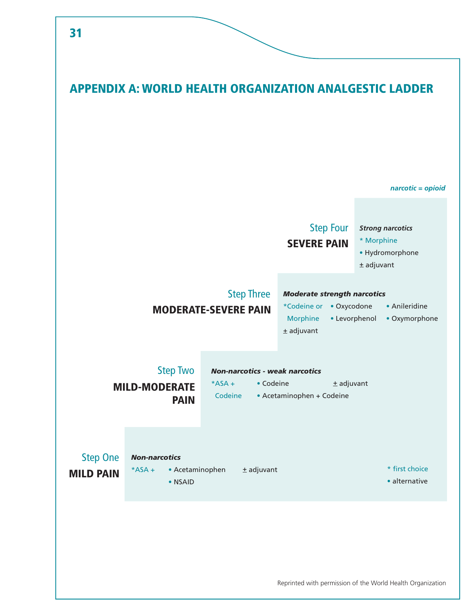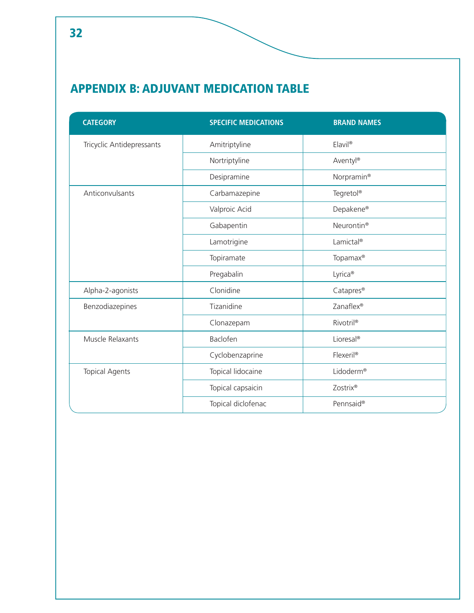## APPENDIX B: ADJUVANT MEDICATION TABLE

| <b>CATEGORY</b>           | <b>SPECIFIC MEDICATIONS</b> | <b>BRAND NAMES</b>     |
|---------------------------|-----------------------------|------------------------|
| Tricyclic Antidepressants | Amitriptyline               | Elavil <sup>®</sup>    |
|                           | Nortriptyline               | Aventyl®               |
|                           | Desipramine                 | Norpramin <sup>®</sup> |
| Anticonvulsants           | Carbamazepine               | Tegretol®              |
|                           | Valproic Acid               | Depakene®              |
|                           | Gabapentin                  | Neurontin <sup>®</sup> |
|                           | Lamotrigine                 | Lamictal®              |
|                           | Topiramate                  | Topamax <sup>®</sup>   |
|                           | Pregabalin                  | Lyrica <sup>®</sup>    |
| Alpha-2-agonists          | Clonidine                   | Catapres <sup>®</sup>  |
| Benzodiazepines           | Tizanidine                  | Zanaflex®              |
|                           | Clonazepam                  | Rivotril®              |
| Muscle Relaxants          | Baclofen                    | Lioresal®              |
|                           | Cyclobenzaprine             | Flexeril®              |
| <b>Topical Agents</b>     | Topical lidocaine           | Lidoderm®              |
|                           | Topical capsaicin           | Zostrix®               |
|                           | Topical diclofenac          | Pennsaid®              |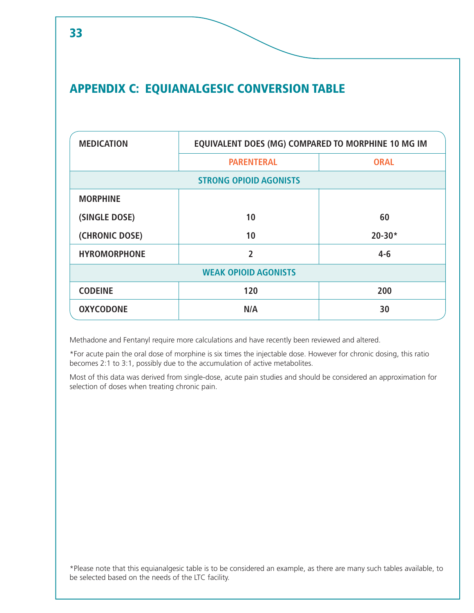## APPENDIX C: EQUIANALGESIC CONVERSION TABLE

| <b>MEDICATION</b>             | EQUIVALENT DOES (MG) COMPARED TO MORPHINE 10 MG IM |             |  |  |
|-------------------------------|----------------------------------------------------|-------------|--|--|
|                               | <b>PARENTERAL</b>                                  | <b>ORAL</b> |  |  |
| <b>STRONG OPIOID AGONISTS</b> |                                                    |             |  |  |
| <b>MORPHINE</b>               |                                                    |             |  |  |
| (SINGLE DOSE)                 | 10                                                 | 60          |  |  |
| (CHRONIC DOSE)                | 10                                                 | $20 - 30*$  |  |  |
| <b>HYROMORPHONE</b>           | 2                                                  | $4 - 6$     |  |  |
| <b>WEAK OPIOID AGONISTS</b>   |                                                    |             |  |  |
| <b>CODEINE</b>                | 120                                                | 200         |  |  |
| <b>OXYCODONE</b>              | N/A                                                | 30          |  |  |

Methadone and Fentanyl require more calculations and have recently been reviewed and altered.

\*For acute pain the oral dose of morphine is six times the injectable dose. However for chronic dosing, this ratio becomes 2:1 to 3:1, possibly due to the accumulation of active metabolites.

Most of this data was derived from single-dose, acute pain studies and should be considered an approximation for selection of doses when treating chronic pain.

\*Please note that this equianalgesic table is to be considered an example, as there are many such tables available, to be selected based on the needs of the LTC facility.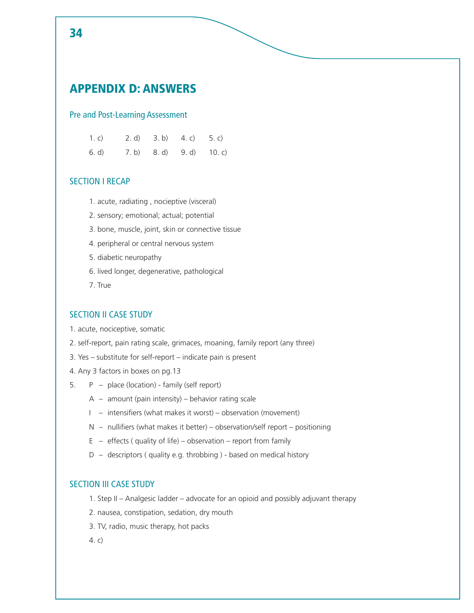## APPENDIX D: ANSWERS

### Pre and Post-Learning Assessment

| 1. c) |  | 2. d) 3. b) 4. c) 5. c)  |  |
|-------|--|--------------------------|--|
| 6. d) |  | 7. b) 8. d) 9. d) 10. c) |  |

### SECTION I RECAP

- 1. acute, radiating , nocieptive (visceral)
- 2. sensory; emotional; actual; potential
- 3. bone, muscle, joint, skin or connective tissue
- 4. peripheral or central nervous system
- 5. diabetic neuropathy
- 6. lived longer, degenerative, pathological
- 7. True

### SECTION II CASE STUDY

- 1. acute, nociceptive, somatic
- 2. self-report, pain rating scale, grimaces, moaning, family report (any three)
- 3. Yes substitute for self-report indicate pain is present
- 4. Any 3 factors in boxes on pg.13
- 5. P place (location) family (self report)
	- $A a$  mount (pain intensity) behavior rating scale
	- I intensifiers (what makes it worst) observation (movement)
	- $N -$  nullifiers (what makes it better) observation/self report positioning
	- $E -$  effects (quality of life) observation report from family
	- $D -$  descriptors (quality e.g. throbbing ) based on medical history

### SECTION III CASE STUDY

- 1. Step II Analgesic ladder advocate for an opioid and possibly adjuvant therapy
- 2. nausea, constipation, sedation, dry mouth
- 3. TV, radio, music therapy, hot packs

4. c)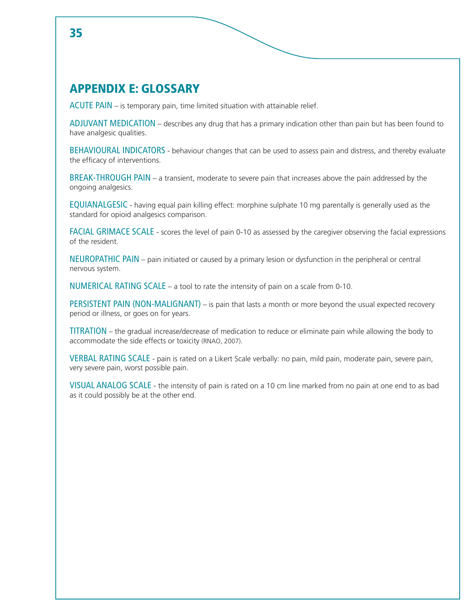## APPENDIX E: GLOSSARY

ACUTE PAIN – is temporary pain, time limited situation with attainable relief.

ADJUVANT MEDICATION – describes any drug that has a primary indication other than pain but has been found to have analgesic qualities.

BEHAVIOURAL INDICATORS - behaviour changes that can be used to assess pain and distress, and thereby evaluate the efficacy of interventions.

BREAK-THROUGH PAIN – a transient, moderate to severe pain that increases above the pain addressed by the ongoing analgesics.

EQUIANALGESIC - having equal pain killing effect: morphine sulphate 10 mg parentally is generally used as the standard for opioid analgesics comparison.

FACIAL GRIMACE SCALE - scores the level of pain 0-10 as assessed by the caregiver observing the facial expressions of the resident.

NEUROPATHIC PAIN – pain initiated or caused by a primary lesion or dysfunction in the peripheral or central nervous system.

NUMERICAL RATING SCALE – a tool to rate the intensity of pain on a scale from 0-10.

PERSISTENT PAIN (NON-MALIGNANT) – is pain that lasts a month or more beyond the usual expected recovery period or illness, or goes on for years.

TITRATION – the gradual increase/decrease of medication to reduce or eliminate pain while allowing the body to accommodate the side effects or toxicity (RNAO, 2007).

VERBAL RATING SCALE - pain is rated on a Likert Scale verbally: no pain, mild pain, moderate pain, severe pain, very severe pain, worst possible pain.

VISUAL ANALOG SCALE - the intensity of pain is rated on a 10 cm line marked from no pain at one end to as bad as it could possibly be at the other end.